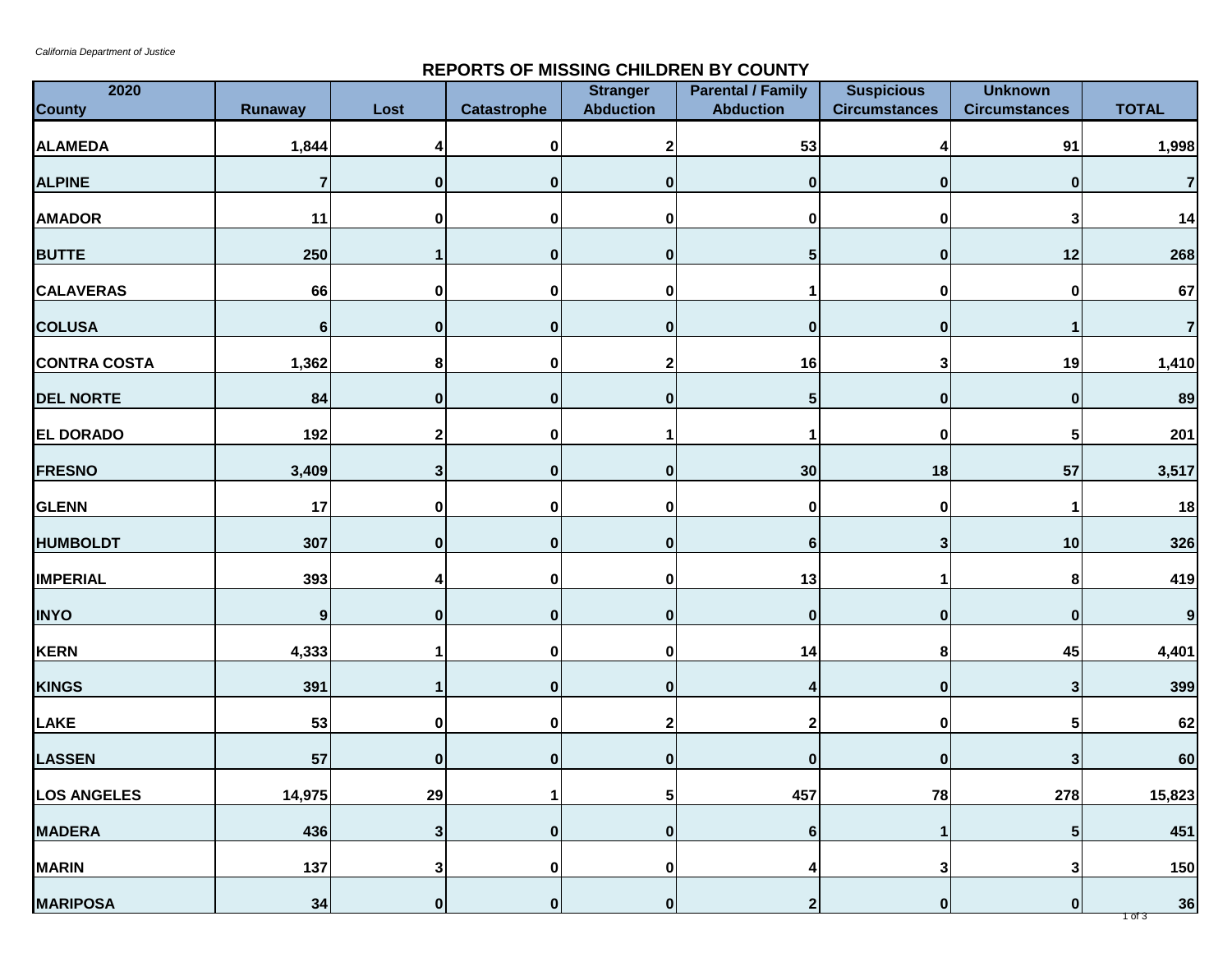## **REPORTS OF MISSING CHILDREN BY COUNTY**

| 2020<br><b>County</b> | <b>Runaway</b> | Lost             | Catastrophe      | <b>Stranger</b><br><b>Abduction</b> | <b>Parental / Family</b><br><b>Abduction</b> | <b>Suspicious</b><br><b>Circumstances</b> | <b>Unknown</b><br><b>Circumstances</b> | <b>TOTAL</b>     |
|-----------------------|----------------|------------------|------------------|-------------------------------------|----------------------------------------------|-------------------------------------------|----------------------------------------|------------------|
| <b>ALAMEDA</b>        | 1,844          |                  | 0                | 2                                   | 53                                           | 4                                         | 91                                     | 1,998            |
| <b>ALPINE</b>         | $\overline{7}$ | 0                | $\mathbf{0}$     | $\bf{0}$                            | $\bf{0}$                                     | $\bf{0}$                                  | 0                                      | $\overline{7}$   |
| <b>AMADOR</b>         | 11             | 0                | $\mathbf{0}$     | 0                                   | 0                                            | $\bf{0}$                                  | 3                                      | 14               |
| <b>BUTTE</b>          | 250            |                  | 0                | $\bf{0}$                            | 5 <sub>l</sub>                               | $\mathbf 0$                               | 12                                     | 268              |
| <b>CALAVERAS</b>      | 66             | 0                | 0                |                                     |                                              | 0                                         |                                        | 67               |
| <b>COLUSA</b>         | 6              | $\bf{0}$         | $\mathbf{0}$     | $\bf{0}$                            | $\bf{0}$                                     | $\bf{0}$                                  |                                        | $\overline{7}$   |
| <b>CONTRA COSTA</b>   | 1,362          | 8                | 0                |                                     | 16                                           | 3                                         | 19                                     | 1,410            |
| <b>DEL NORTE</b>      | 84             | 0                | 0                | $\bf{0}$                            | 5 <sub>l</sub>                               | 0                                         | $\mathbf 0$                            | 89               |
| <b>EL DORADO</b>      | 192            | 2                | 0                |                                     |                                              | $\boldsymbol{0}$                          | 5 <sub>1</sub>                         | 201              |
| <b>FRESNO</b>         | 3,409          | 3 <sup>1</sup>   | 0                | $\bf{0}$                            | 30                                           | 18                                        | 57                                     | 3,517            |
| <b>GLENN</b>          | 17             | 0                | $\mathbf{0}$     |                                     | 0                                            | $\bf{0}$                                  |                                        | 18               |
| <b>HUMBOLDT</b>       | 307            | $\boldsymbol{0}$ | 0                | $\bf{0}$                            | $6\phantom{1}$                               | 3                                         | 10                                     | 326              |
| <b>IMPERIAL</b>       | 393            | 4                | 0                | 0                                   | 13                                           |                                           | 8                                      | 419              |
| <b>INYO</b>           | 9              | $\bf{0}$         | $\mathbf{0}$     | 0                                   | 0                                            | 0                                         | 0                                      | $\boldsymbol{9}$ |
| <b>KERN</b>           | 4,333          |                  | 0                | $\mathbf 0$                         | 14                                           | 8 <sup>1</sup>                            | 45                                     | 4,401            |
| KINGS                 | 391            |                  | 0                | 0                                   | 4                                            | $\mathbf 0$                               | 3                                      | 399              |
| <b>LAKE</b>           | 53             | 0                | $\boldsymbol{0}$ |                                     | 2                                            | $\bf{0}$                                  | 5                                      | 62               |
| <b>LASSEN</b>         | 57             | $\boldsymbol{0}$ | 0                | $\bf{0}$                            | 0                                            | 0                                         | 3                                      | 60               |
| <b>LOS ANGELES</b>    | 14,975         | 29               |                  | 5                                   | 457                                          | 78                                        | 278                                    | 15,823           |
| <b>MADERA</b>         | 436            | 3 <sup>1</sup>   | 0                | $\bf{0}$                            | $6\phantom{1}$                               |                                           | 5                                      | 451              |
| <b>MARIN</b>          | 137            | 3                | 0                | 0                                   | 4                                            | 3                                         | 3                                      | 150              |
| <b>MARIPOSA</b>       | 34             | 0                | 0                | 0                                   | $\boldsymbol{2}$                             | $\bf{0}$                                  | $\bf{0}$                               | 36<br>$1$ of $3$ |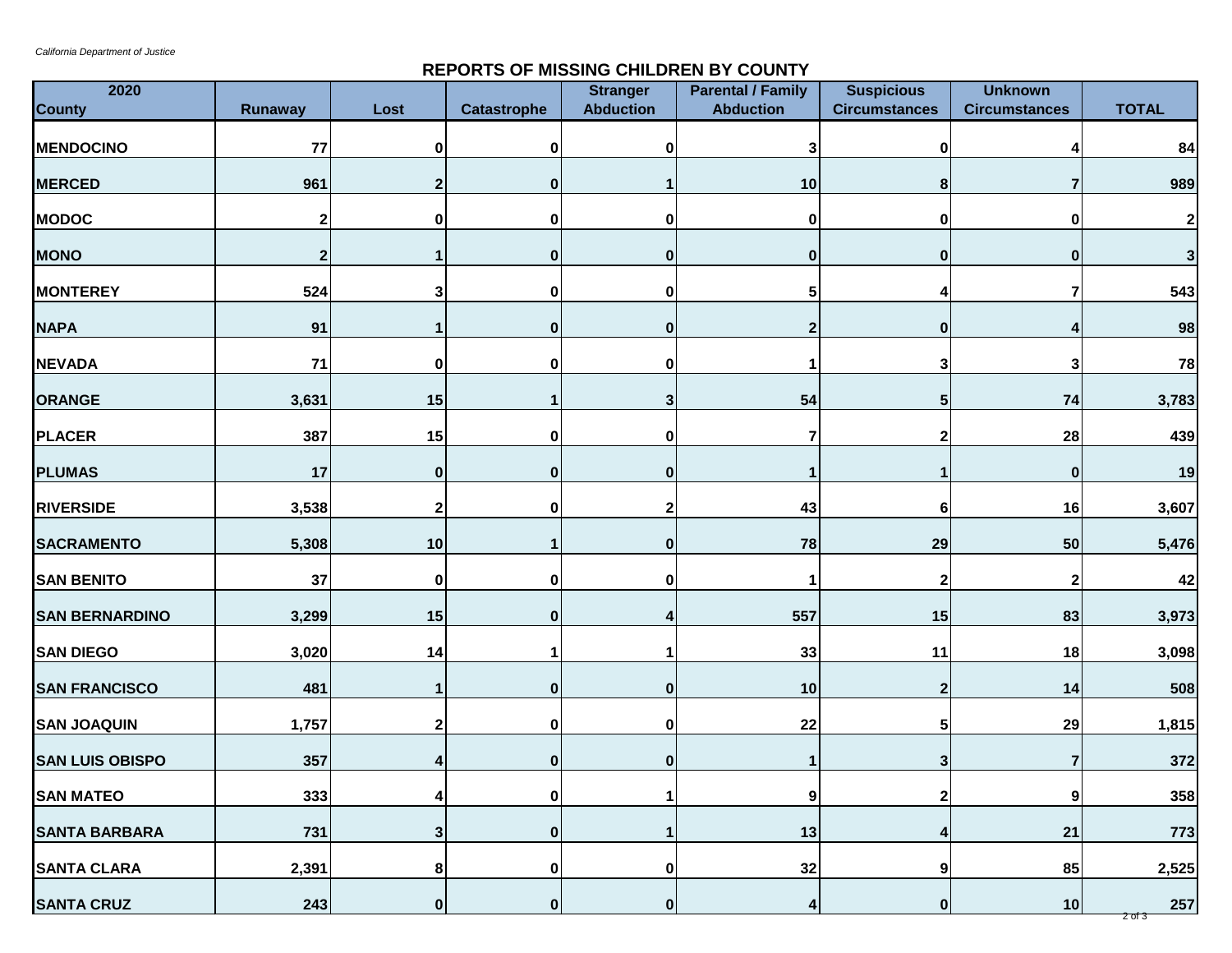## **REPORTS OF MISSING CHILDREN BY COUNTY**

| 2020                   |                  |          |                    | <b>Stranger</b>  | <b>Parental / Family</b> | <b>Suspicious</b>    | <b>Unknown</b>       |                     |
|------------------------|------------------|----------|--------------------|------------------|--------------------------|----------------------|----------------------|---------------------|
| <b>County</b>          | <b>Runaway</b>   | Lost     | <b>Catastrophe</b> | <b>Abduction</b> | <b>Abduction</b>         | <b>Circumstances</b> | <b>Circumstances</b> | <b>TOTAL</b>        |
| <b>MENDOCINO</b>       | 77               | $\bf{0}$ | 0                  | $\mathbf 0$      | 3                        | 0                    |                      | 84                  |
| <b>MERCED</b>          | 961              |          | 0                  |                  | 10                       | 8                    |                      | 989                 |
| <b>MODOC</b>           | $\boldsymbol{2}$ | $\bf{0}$ | 0                  | $\bf{0}$         | 0                        | $\bf{0}$             | 0                    | $\mathbf{2}$        |
| <b>MONO</b>            | $\boldsymbol{2}$ |          | 0                  | $\bf{0}$         | 0                        | $\bf{0}$             | 0                    | $\mathbf{3}$        |
| <b>MONTEREY</b>        | 524              | 3        | $\mathbf{0}$       | $\bf{0}$         | 5                        |                      |                      | 543                 |
| <b>NAPA</b>            | 91               |          | 0                  | $\bf{0}$         |                          | $\bf{0}$             |                      | 98                  |
| <b>NEVADA</b>          | 71               | $\bf{0}$ | 0                  | O                |                          | 3                    |                      | 78                  |
| ORANGE                 | 3,631            | 15       |                    |                  | 54                       | 5                    | 74                   | 3,783               |
| <b>PLACER</b>          | 387              | 15       | 0                  | 0                |                          | 2                    | 28                   | 439                 |
| <b>PLUMAS</b>          | 17               | 0        | 0                  | $\mathbf{0}$     |                          |                      | $\bf{0}$             | 19                  |
| <b>RIVERSIDE</b>       | 3,538            | 2        | 0                  |                  | 43                       | 6                    | 16                   | 3,607               |
| <b>SACRAMENTO</b>      | 5,308            | 10       |                    | $\mathbf{0}$     | 78                       | 29                   | 50                   | 5,476               |
| <b>SAN BENITO</b>      | 37               | $\bf{0}$ | 0                  | 0                |                          | $\boldsymbol{2}$     |                      | 42                  |
| <b>SAN BERNARDINO</b>  | 3,299            | 15       | 0                  |                  | 557                      | 15                   | 83                   | 3,973               |
| <b>SAN DIEGO</b>       | 3,020            | 14       |                    |                  | 33                       | 11                   | 18                   | 3,098               |
| <b>SAN FRANCISCO</b>   | 481              |          | 0                  | 0                | 10                       | $\mathbf{2}$         | 14                   | 508                 |
| <b>SAN JOAQUIN</b>     | 1,757            |          | 0                  | 0                | 22                       | 5                    | 29                   | 1,815               |
| <b>SAN LUIS OBISPO</b> | 357              | 4        | 0                  | $\mathbf{0}$     |                          | 3                    | 7                    | 372                 |
| <b>SAN MATEO</b>       | 333              |          | 0                  |                  | 9                        | 2                    | 9                    | 358                 |
| <b>SANTA BARBARA</b>   | 731              | 3        | 0                  |                  | 13                       | 4                    | 21                   | 773                 |
| <b>SANTA CLARA</b>     | 2,391            | 8        | 0                  | $\boldsymbol{0}$ | 32                       | 9                    | 85                   | 2,525               |
| <b>SANTA CRUZ</b>      | 243              | 0        | 0                  | 0                | $\vert 4 \vert$          | 0                    | 10                   | 257<br><u>2013 </u> |